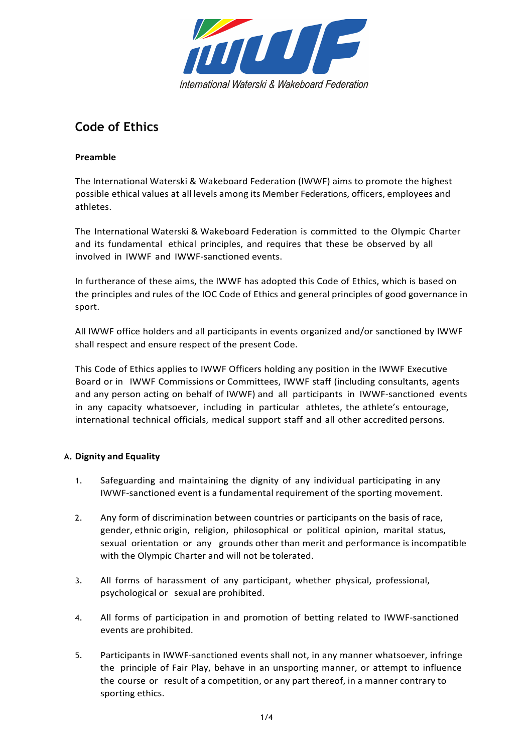

# **Code of Ethics**

## **Preamble**

The International Waterski & Wakeboard Federation (IWWF) aims to promote the highest possible ethical values at all levels among its Member Federations, officers, employees and athletes.

The International Waterski & Wakeboard Federation is committed to the Olympic Charter and its fundamental ethical principles, and requires that these be observed by all involved in IWWF and IWWF-sanctioned events.

In furtherance of these aims, the IWWF has adopted this Code of Ethics, which is based on the principles and rules of the IOC Code of Ethics and general principles of good governance in sport.

All IWWF office holders and all participants in events organized and/or sanctioned by IWWF shall respect and ensure respect of the present Code.

This Code of Ethics applies to IWWF Officers holding any position in the IWWF Executive Board or in IWWF Commissions or Committees, IWWF staff (including consultants, agents and any person acting on behalf of IWWF) and all participants in IWWF-sanctioned events in any capacity whatsoever, including in particular athletes, the athlete's entourage, international technical officials, medical support staff and all other accredited persons.

## **A. Dignity and Equality**

- 1. Safeguarding and maintaining the dignity of any individual participating in any IWWF-sanctioned event is a fundamental requirement of the sporting movement.
- 2. Any form of discrimination between countries or participants on the basis of race, gender, ethnic origin, religion, philosophical or political opinion, marital status, sexual orientation or any grounds other than merit and performance is incompatible with the Olympic Charter and will not be tolerated.
- 3. All forms of harassment of any participant, whether physical, professional, psychological or sexual are prohibited.
- 4. All forms of participation in and promotion of betting related to IWWF-sanctioned events are prohibited.
- 5. Participants in IWWF-sanctioned events shall not, in any manner whatsoever, infringe the principle of Fair Play, behave in an unsporting manner, or attempt to influence the course or result of a competition, or any part thereof, in a manner contrary to sporting ethics.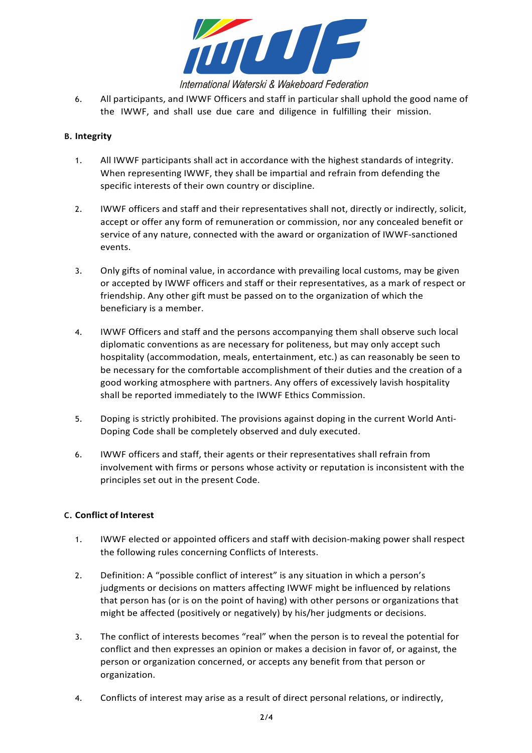

International Waterski & Wakeboard Federation

6. All participants, and IWWF Officers and staff in particular shall uphold the good name of the IWWF, and shall use due care and diligence in fulfilling their mission.

#### **B. Integrity**

- 1. All IWWF participants shall act in accordance with the highest standards of integrity. When representing IWWF, they shall be impartial and refrain from defending the specific interests of their own country or discipline.
- 2. IWWF officers and staff and their representatives shall not, directly or indirectly, solicit, accept or offer any form of remuneration or commission, nor any concealed benefit or service of any nature, connected with the award or organization of IWWF-sanctioned events.
- 3. Only gifts of nominal value, in accordance with prevailing local customs, may be given or accepted by IWWF officers and staff or their representatives, as a mark of respect or friendship. Any other gift must be passed on to the organization of which the beneficiary is a member.
- 4. IWWF Officers and staff and the persons accompanying them shall observe such local diplomatic conventions as are necessary for politeness, but may only accept such hospitality (accommodation, meals, entertainment, etc.) as can reasonably be seen to be necessary for the comfortable accomplishment of their duties and the creation of a good working atmosphere with partners. Any offers of excessively lavish hospitality shall be reported immediately to the IWWF Ethics Commission.
- 5. Doping is strictly prohibited. The provisions against doping in the current World Anti-Doping Code shall be completely observed and duly executed.
- 6. IWWF officers and staff, their agents or their representatives shall refrain from involvement with firms or persons whose activity or reputation is inconsistent with the principles set out in the present Code.

## **C. Conflict of Interest**

- 1. IWWF elected or appointed officers and staff with decision-making power shall respect the following rules concerning Conflicts of Interests.
- 2. Definition: A "possible conflict of interest" is any situation in which a person's judgments or decisions on matters affecting IWWF might be influenced by relations that person has (or is on the point of having) with other persons or organizations that might be affected (positively or negatively) by his/her judgments or decisions.
- 3. The conflict of interests becomes "real" when the person is to reveal the potential for conflict and then expresses an opinion or makes a decision in favor of, or against, the person or organization concerned, or accepts any benefit from that person or organization.
- 4. Conflicts of interest may arise as a result of direct personal relations, or indirectly,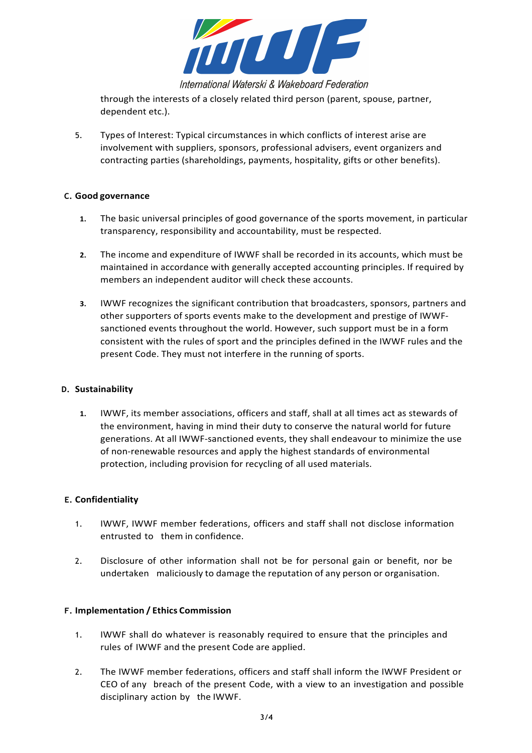

International Waterski & Wakeboard Federation

through the interests of a closely related third person (parent, spouse, partner, dependent etc.).

5. Types of Interest: Typical circumstances in which conflicts of interest arise are involvement with suppliers, sponsors, professional advisers, event organizers and contracting parties (shareholdings, payments, hospitality, gifts or other benefits).

#### **C. Good governance**

- **1.** The basic universal principles of good governance of the sports movement, in particular transparency, responsibility and accountability, must be respected.
- **2.** The income and expenditure of IWWF shall be recorded in its accounts, which must be maintained in accordance with generally accepted accounting principles. If required by members an independent auditor will check these accounts.
- **3.** IWWF recognizes the significant contribution that broadcasters, sponsors, partners and other supporters of sports events make to the development and prestige of IWWFsanctioned events throughout the world. However, such support must be in a form consistent with the rules of sport and the principles defined in the IWWF rules and the present Code. They must not interfere in the running of sports.

#### **D. Sustainability**

**1.** IWWF, its member associations, officers and staff, shall at all times act as stewards of the environment, having in mind their duty to conserve the natural world for future generations. At all IWWF-sanctioned events, they shall endeavour to minimize the use of non-renewable resources and apply the highest standards of environmental protection, including provision for recycling of all used materials.

## **E. Confidentiality**

- 1. IWWF, IWWF member federations, officers and staff shall not disclose information entrusted to them in confidence.
- 2. Disclosure of other information shall not be for personal gain or benefit, nor be undertaken maliciously to damage the reputation of any person or organisation.

## **F. Implementation / Ethics Commission**

- 1. IWWF shall do whatever is reasonably required to ensure that the principles and rules of IWWF and the present Code are applied.
- 2. The IWWF member federations, officers and staff shall inform the IWWF President or CEO of any breach of the present Code, with a view to an investigation and possible disciplinary action by the IWWF.